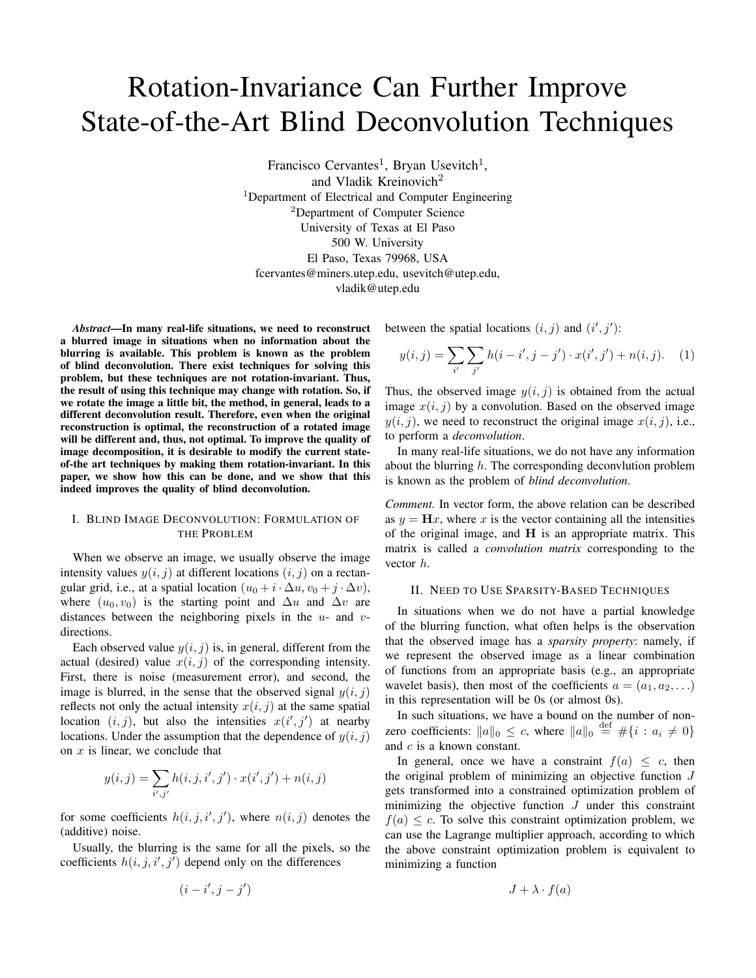# Rotation-Invariance Can Further Improve State-of-the-Art Blind Deconvolution Techniques

Francisco Cervantes<sup>1</sup>, Bryan Usevitch<sup>1</sup>, and Vladik Kreinovich<sup>2</sup> <sup>1</sup>Department of Electrical and Computer Engineering <sup>2</sup>Department of Computer Science University of Texas at El Paso 500 W. University El Paso, Texas 79968, USA fcervantes@miners.utep.edu, usevitch@utep.edu,

vladik@utep.edu

*Abstract*—In many real-life situations, we need to reconstruct a blurred image in situations when no information about the blurring is available. This problem is known as the problem of blind deconvolution. There exist techniques for solving this problem, but these techniques are not rotation-invariant. Thus, the result of using this technique may change with rotation. So, if we rotate the image a little bit, the method, in general, leads to a different deconvolution result. Therefore, even when the original reconstruction is optimal, the reconstruction of a rotated image will be different and, thus, not optimal. To improve the quality of image decomposition, it is desirable to modify the current stateof-the art techniques by making them rotation-invariant. In this paper, we show how this can be done, and we show that this indeed improves the quality of blind deconvolution.

# I. BLIND IMAGE DECONVOLUTION: FORMULATION OF THE PROBLEM

When we observe an image, we usually observe the image intensity values  $y(i, j)$  at different locations  $(i, j)$  on a rectangular grid, i.e., at a spatial location  $(u_0 + i \cdot \Delta u, v_0 + j \cdot \Delta v)$ , where  $(u_0, v_0)$  is the starting point and  $\Delta u$  and  $\Delta v$  are distances between the neighboring pixels in the *u*- and *v*directions.

Each observed value  $y(i, j)$  is, in general, different from the actual (desired) value  $x(i, j)$  of the corresponding intensity. First, there is noise (measurement error), and second, the image is blurred, in the sense that the observed signal  $y(i, j)$ reflects not only the actual intensity  $x(i, j)$  at the same spatial location  $(i, j)$ , but also the intensities  $x(i', j')$  at nearby locations. Under the assumption that the dependence of  $y(i, j)$ on *x* is linear, we conclude that

$$
y(i, j) = \sum_{i', j'} h(i, j, i', j') \cdot x(i', j') + n(i, j)
$$

for some coefficients  $h(i, j, i', j')$ , where  $n(i, j)$  denotes the (additive) noise.

Usually, the blurring is the same for all the pixels, so the coefficients  $h(i, j, i', j')$  depend only on the differences

$$
(i-i',j-j')
$$

between the spatial locations  $(i, j)$  and  $(i', j')$ :

$$
y(i,j) = \sum_{i'} \sum_{j'} h(i - i', j - j') \cdot x(i', j') + n(i, j). \tag{1}
$$

Thus, the observed image  $y(i, j)$  is obtained from the actual image  $x(i, j)$  by a convolution. Based on the observed image  $y(i, j)$ , we need to reconstruct the original image  $x(i, j)$ , i.e., to perform a *deconvolution*.

In many real-life situations, we do not have any information about the blurring *h*. The corresponding deconvlution problem is known as the problem of *blind deconvolution*.

*Comment.* In vector form, the above relation can be described as  $y = Hx$ , where x is the vector containing all the intensities of the original image, and **H** is an appropriate matrix. This matrix is called a *convolution matrix* corresponding to the vector *h*.

## II. NEED TO USE SPARSITY-BASED TECHNIQUES

In situations when we do not have a partial knowledge of the blurring function, what often helps is the observation that the observed image has a *sparsity property*: namely, if we represent the observed image as a linear combination of functions from an appropriate basis (e.g., an appropriate wavelet basis), then most of the coefficients  $a = (a_1, a_2, \ldots)$ in this representation will be 0s (or almost 0s).

In such situations, we have a bound on the number of nonzero coefficients:  $||a||_0 \le c$ , where  $||a||_0 \stackrel{\text{def}}{=} \# \{i : a_i \neq 0\}$ and *c* is a known constant.

In general, once we have a constraint  $f(a) \leq c$ , then the original problem of minimizing an objective function *J* gets transformed into a constrained optimization problem of minimizing the objective function *J* under this constraint  $f(a) \leq c$ . To solve this constraint optimization problem, we can use the Lagrange multiplier approach, according to which the above constraint optimization problem is equivalent to minimizing a function

$$
J + \lambda \cdot f(a)
$$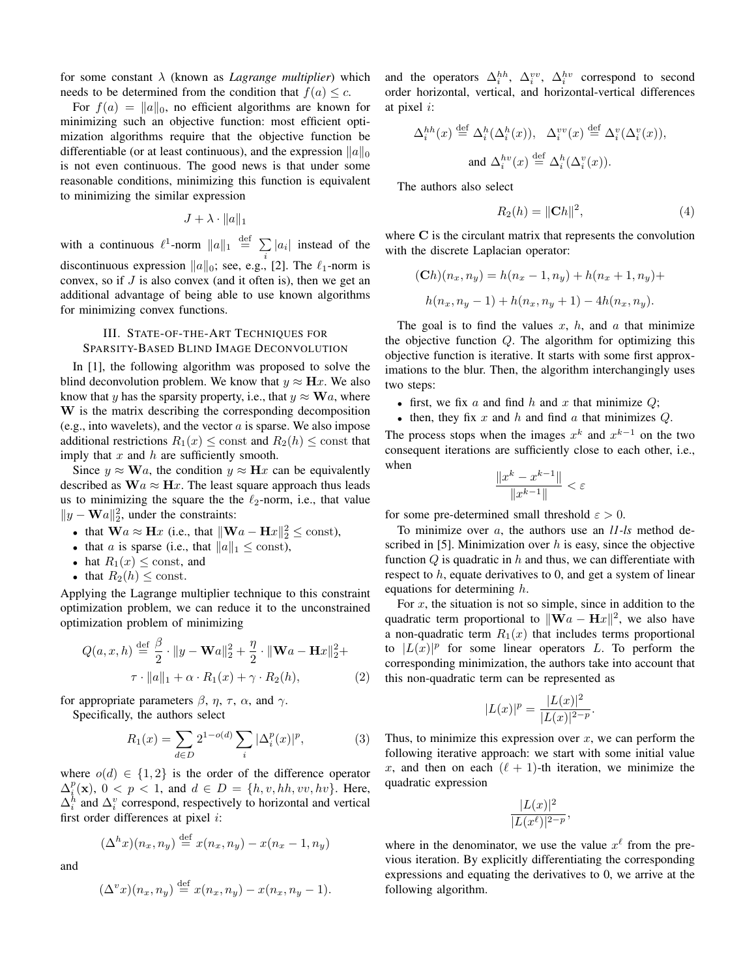for some constant *λ* (known as *Lagrange multiplier*) which needs to be determined from the condition that  $f(a) \leq c$ .

For  $f(a) = ||a||_0$ , no efficient algorithms are known for minimizing such an objective function: most efficient optimization algorithms require that the objective function be differentiable (or at least continuous), and the expression *∥a∥*<sup>0</sup> is not even continuous. The good news is that under some reasonable conditions, minimizing this function is equivalent to minimizing the similar expression

$$
J + \lambda \cdot ||a||_1
$$

with a continuous  $\ell^1$ -norm  $||a||_1 \stackrel{\text{def}}{=} \sum |a_i|$  instead of the *i* discontinuous expression *∥a∥*0; see, e.g., [2]. The *ℓ*1-norm is convex, so if *J* is also convex (and it often is), then we get an additional advantage of being able to use known algorithms for minimizing convex functions.

## III. STATE-OF-THE-ART TECHNIQUES FOR SPARSITY-BASED BLIND IMAGE DECONVOLUTION

In [1], the following algorithm was proposed to solve the blind deconvolution problem. We know that  $y \approx Hx$ . We also know that *y* has the sparsity property, i.e., that  $y \approx \mathbf{W}a$ , where **W** is the matrix describing the corresponding decomposition (e.g., into wavelets), and the vector *a* is sparse. We also impose additional restrictions  $R_1(x) \leq$  const and  $R_2(h) \leq$  const that imply that *x* and *h* are sufficiently smooth.

Since  $y \approx \mathbf{W}a$ , the condition  $y \approx \mathbf{H}x$  can be equivalently described as  $W_a \approx H_x$ . The least square approach thus leads us to minimizing the square the the  $\ell_2$ -norm, i.e., that value *∥y −* **W***a∥* 2 2 , under the constraints:

- that  $\mathbf{W}a \approx \mathbf{H}x$  (i.e., that  $\|\mathbf{W}a \mathbf{H}x\|_2^2 \le \text{const}$ ),
- that *a* is sparse (i.e., that  $||a||_1 \leq$  const),
- hat  $R_1(x) \leq$  const, and
- that  $R_2(h) \leq$  const.

Applying the Lagrange multiplier technique to this constraint optimization problem, we can reduce it to the unconstrained optimization problem of minimizing

$$
Q(a, x, h) \stackrel{\text{def}}{=} \frac{\beta}{2} \cdot ||y - \mathbf{W}a||_2^2 + \frac{\eta}{2} \cdot ||\mathbf{W}a - \mathbf{H}x||_2^2 + \tau \cdot ||a||_1 + \alpha \cdot R_1(x) + \gamma \cdot R_2(h), \tag{2}
$$

for appropriate parameters  $\beta$ ,  $\eta$ ,  $\tau$ ,  $\alpha$ , and  $\gamma$ .

Specifically, the authors select

$$
R_1(x) = \sum_{d \in D} 2^{1 - o(d)} \sum_i |\Delta_i^p(x)|^p, \tag{3}
$$

where  $o(d) \in \{1,2\}$  is the order of the difference operator  $\Delta_i^p(\mathbf{x})$ ,  $0 < p < 1$ , and  $d \in D = \{h, v, hh, vv, hv\}$ . Here,  $\Delta_i^h$  and  $\Delta_i^v$  correspond, respectively to horizontal and vertical first order differences at pixel *i*:

$$
(\Delta^h x)(n_x, n_y) \stackrel{\text{def}}{=} x(n_x, n_y) - x(n_x - 1, n_y)
$$

and

$$
(\Delta^v x)(n_x, n_y) \stackrel{\text{def}}{=} x(n_x, n_y) - x(n_x, n_y - 1).
$$

and the operators  $\Delta_i^{hh}$ ,  $\Delta_i^{vv}$ ,  $\Delta_i^{hv}$  correspond to second order horizontal, vertical, and horizontal-vertical differences at pixel *i*:

$$
\Delta_i^{hh}(x) \stackrel{\text{def}}{=} \Delta_i^h(\Delta_i^h(x)), \quad \Delta_i^{vv}(x) \stackrel{\text{def}}{=} \Delta_i^{v}(\Delta_i^{v}(x)),
$$
  
and 
$$
\Delta_i^{hv}(x) \stackrel{\text{def}}{=} \Delta_i^h(\Delta_i^{v}(x)).
$$

The authors also select

$$
R_2(h) = ||\mathbf{C}h||^2,
$$
 (4)

where **C** is the circulant matrix that represents the convolution with the discrete Laplacian operator:

$$
(Ch)(n_x, n_y) = h(n_x - 1, n_y) + h(n_x + 1, n_y) +
$$

$$
h(n_x, n_y - 1) + h(n_x, n_y + 1) - 4h(n_x, n_y).
$$

The goal is to find the values  $x$ ,  $h$ , and  $a$  that minimize the objective function *Q*. The algorithm for optimizing this objective function is iterative. It starts with some first approximations to the blur. Then, the algorithm interchangingly uses two steps:

- *•* first, we fix *a* and find *h* and *x* that minimize *Q*;
- *•* then, they fix *x* and *h* and find *a* that minimizes *Q*.

The process stops when the images  $x^k$  and  $x^{k-1}$  on the two consequent iterations are sufficiently close to each other, i.e., when

$$
\frac{\|x^k - x^{k-1}\|}{\|x^{k-1}\|} < \varepsilon
$$

for some pre-determined small threshold  $\varepsilon > 0$ .

To minimize over *a*, the authors use an *l1-ls* method described in [5]. Minimization over *h* is easy, since the objective function *Q* is quadratic in *h* and thus, we can differentiate with respect to *h*, equate derivatives to 0, and get a system of linear equations for determining *h*.

For *x*, the situation is not so simple, since in addition to the quadratic term proportional to *∥***W***a −* **H***x∥* 2 , we also have a non-quadratic term  $R_1(x)$  that includes terms proportional to  $|L(x)|^p$  for some linear operators *L*. To perform the corresponding minimization, the authors take into account that this non-quadratic term can be represented as

$$
|L(x)|^p = \frac{|L(x)|^2}{|L(x)|^{2-p}}.
$$

Thus, to minimize this expression over *x*, we can perform the following iterative approach: we start with some initial value *x*, and then on each  $(\ell + 1)$ -th iteration, we minimize the quadratic expression

$$
\frac{|L(x)|^2}{|L(x^{\ell})|^{2-p}},
$$

where in the denominator, we use the value  $x^{\ell}$  from the previous iteration. By explicitly differentiating the corresponding expressions and equating the derivatives to 0, we arrive at the following algorithm.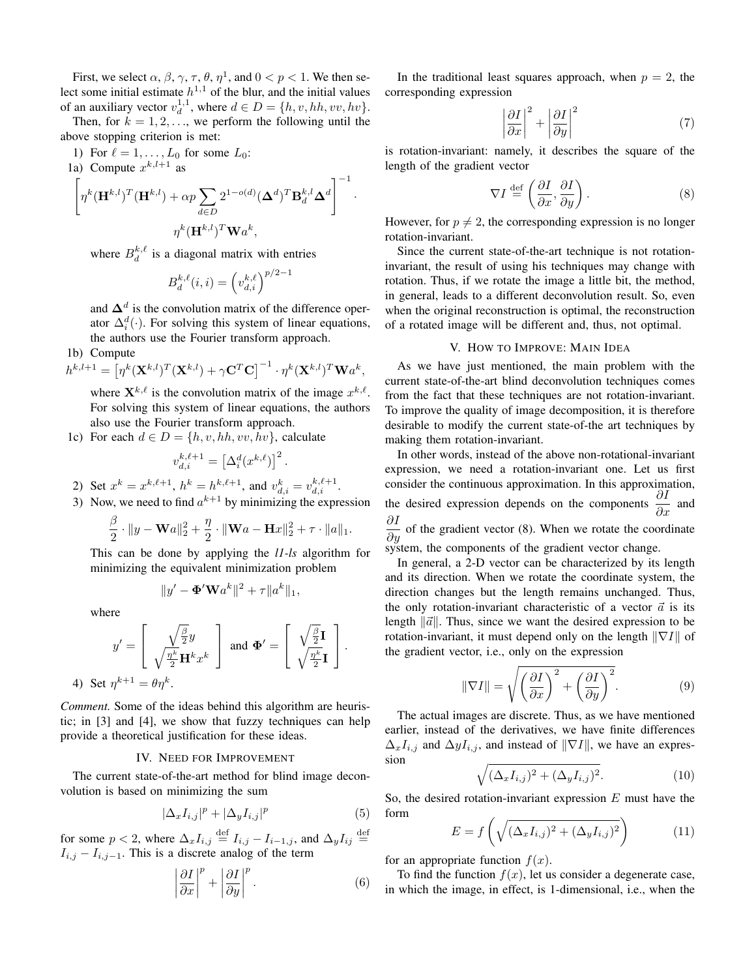First, we select  $\alpha$ ,  $\beta$ ,  $\gamma$ ,  $\tau$ ,  $\theta$ ,  $\eta$ <sup>1</sup>, and  $0 < p < 1$ . We then select some initial estimate  $h^{1,1}$  of the blur, and the initial values of an auxiliary vector  $v_d^{1,1}$ , where  $d \in D = \{h, v, hh, vv, hv\}$ .

Then, for  $k = 1, 2, \ldots$ , we perform the following until the above stopping criterion is met:

1) For  $\ell = 1, ..., L_0$  for some  $L_0$ : 1a) Compute  $x^{k,l+1}$  as

$$
\left[\eta^k({\bf H}^{k,l})^T({\bf H}^{k,l})+\alpha p\sum_{d\in D}2^{1-o(d)}({\bf \Delta}^d)^T{\bf B}_d^{k,l}{\bf \Delta}^d\right]^{-1}.
$$
  

$$
\eta^k({\bf H}^{k,l})^T{\bf W}a^k,
$$

where  $B_d^{k,\ell}$  is a diagonal matrix with entries

$$
B_d^{k,\ell}(i,i) = \left(v_{d,i}^{k,\ell}\right)^{p/2-1}
$$

and **∆***<sup>d</sup>* is the convolution matrix of the difference operator  $\Delta_i^d(\cdot)$ . For solving this system of linear equations, the authors use the Fourier transform approach.

# 1b) Compute

$$
h^{k,l+1} = \left[\eta^k(\mathbf{X}^{k,l})^T(\mathbf{X}^{k,l}) + \gamma \mathbf{C}^T \mathbf{C}\right]^{-1} \cdot \eta^k(\mathbf{X}^{k,l})^T \mathbf{W} a^k,
$$

where  $\mathbf{X}^{k,\ell}$  is the convolution matrix of the image  $x^{k,\ell}$ . For solving this system of linear equations, the authors also use the Fourier transform approach.

1c) For each  $d \in D = \{h, v, hh, vv, hv\}$ , calculate

$$
v_{d,i}^{k,\ell+1} = \left[\Delta_i^d(x^{k,\ell})\right]^2.
$$

- 2) Set  $x^k = x^{k,\ell+1}$ ,  $h^k = h^{k,\ell+1}$ , and  $v^k_{d,i} = v^{k,\ell+1}_{d,i}$ .
- 3) Now, we need to find  $a^{k+1}$  by minimizing the expression

$$
\frac{\beta}{2} \cdot \|y - \mathbf{W}a\|_2^2 + \frac{\eta}{2} \cdot \|\mathbf{W}a - \mathbf{H}x\|_2^2 + \tau \cdot \|a\|_1.
$$

This can be done by applying the *l1-ls* algorithm for minimizing the equivalent minimization problem

$$
||y' - \mathbf{\Phi}' \mathbf{W} a^k||^2 + \tau ||a^k||_1,
$$

where

$$
y' = \left[\begin{array}{c} \sqrt{\frac{\beta}{2}}y\\ \sqrt{\frac{\eta^k}{2}}\mathbf{H}^k x^k \end{array}\right] \text{ and } \Phi' = \left[\begin{array}{c} \sqrt{\frac{\beta}{2}}\mathbf{I} \\ \sqrt{\frac{\eta^k}{2}}\mathbf{I} \end{array}\right].
$$
  
4) Set  $\eta^{k+1} = \theta \eta^k$ .

*Comment.* Some of the ideas behind this algorithm are heuristic; in [3] and [4], we show that fuzzy techniques can help provide a theoretical justification for these ideas.

#### IV. NEED FOR IMPROVEMENT

The current state-of-the-art method for blind image deconvolution is based on minimizing the sum

$$
|\Delta_x I_{i,j}|^p + |\Delta_y I_{i,j}|^p \tag{5}
$$

for some  $p < 2$ , where  $\Delta_x I_{i,j} \stackrel{\text{def}}{=} I_{i,j} - I_{i-1,j}$ , and  $\Delta_y I_{ij} \stackrel{\text{def}}{=}$  $I_{i,j} - I_{i,j-1}$ . This is a discrete analog of the term

$$
\left|\frac{\partial I}{\partial x}\right|^p + \left|\frac{\partial I}{\partial y}\right|^p.
$$
 (6)

In the traditional least squares approach, when  $p = 2$ , the corresponding expression

$$
\left|\frac{\partial I}{\partial x}\right|^2 + \left|\frac{\partial I}{\partial y}\right|^2\tag{7}
$$

is rotation-invariant: namely, it describes the square of the length of the gradient vector

$$
\nabla I \stackrel{\text{def}}{=} \left( \frac{\partial I}{\partial x}, \frac{\partial I}{\partial y} \right). \tag{8}
$$

However, for  $p \neq 2$ , the corresponding expression is no longer rotation-invariant.

Since the current state-of-the-art technique is not rotationinvariant, the result of using his techniques may change with rotation. Thus, if we rotate the image a little bit, the method, in general, leads to a different deconvolution result. So, even when the original reconstruction is optimal, the reconstruction of a rotated image will be different and, thus, not optimal.

#### V. HOW TO IMPROVE: MAIN IDEA

As we have just mentioned, the main problem with the current state-of-the-art blind deconvolution techniques comes from the fact that these techniques are not rotation-invariant. To improve the quality of image decomposition, it is therefore desirable to modify the current state-of-the art techniques by making them rotation-invariant.

In other words, instead of the above non-rotational-invariant expression, we need a rotation-invariant one. Let us first consider the continuous approximation. In this approximation, the desired expression depends on the components  $\frac{\partial I}{\partial x}$  and  $\frac{\partial I}{\partial y}$  of the gradient vector (8). When we rotate the coordinate system, the components of the gradient vector change.

In general, a 2-D vector can be characterized by its length and its direction. When we rotate the coordinate system, the direction changes but the length remains unchanged. Thus, the only rotation-invariant characteristic of a vector  $\vec{a}$  is its length *∥a*<sup>*∥*</sup>. Thus, since we want the desired expression to be rotation-invariant, it must depend only on the length *∥∇I∥* of the gradient vector, i.e., only on the expression

$$
\|\nabla I\| = \sqrt{\left(\frac{\partial I}{\partial x}\right)^2 + \left(\frac{\partial I}{\partial y}\right)^2}.
$$
 (9)

The actual images are discrete. Thus, as we have mentioned earlier, instead of the derivatives, we have finite differences  $\Delta_x I_{i,j}$  and  $\Delta y I_{i,j}$ , and instead of  $\|\nabla I\|$ , we have an expression

$$
\sqrt{(\Delta_x I_{i,j})^2 + (\Delta_y I_{i,j})^2}.\tag{10}
$$

So, the desired rotation-invariant expression *E* must have the form

$$
E = f\left(\sqrt{(\Delta_x I_{i,j})^2 + (\Delta_y I_{i,j})^2}\right) \tag{11}
$$

for an appropriate function  $f(x)$ .

To find the function  $f(x)$ , let us consider a degenerate case, in which the image, in effect, is 1-dimensional, i.e., when the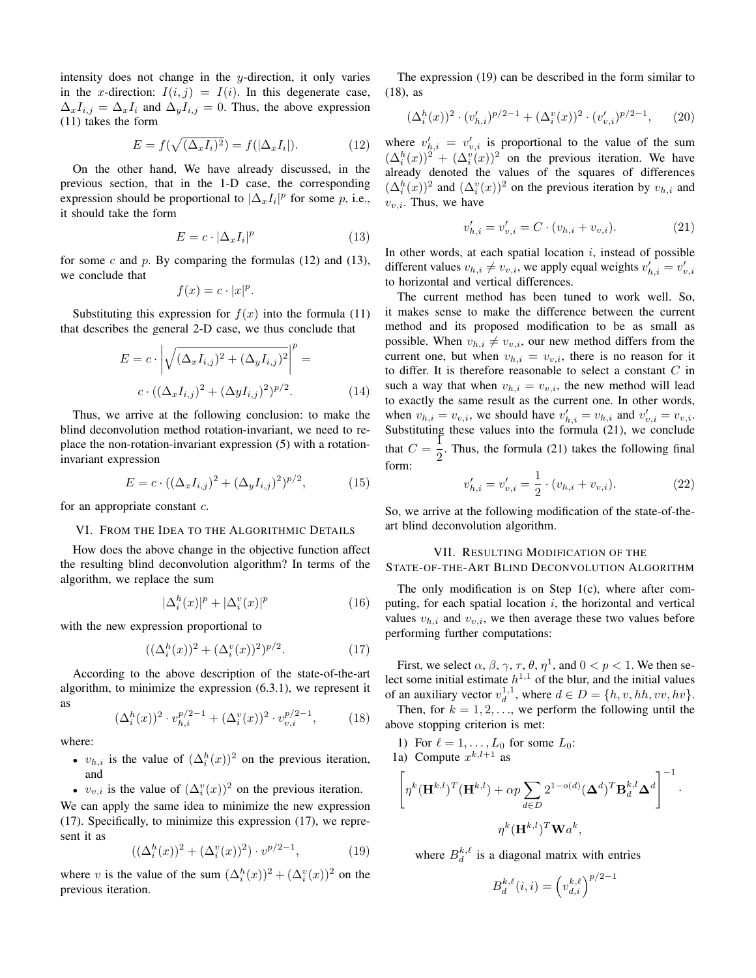intensity does not change in the *y*-direction, it only varies in the *x*-direction:  $I(i, j) = I(i)$ . In this degenerate case,  $\Delta_x I_{i,j} = \Delta_x I_i$  and  $\Delta_y I_{i,j} = 0$ . Thus, the above expression (11) takes the form

$$
E = f(\sqrt{(\Delta_x I_i)^2}) = f(|\Delta_x I_i|). \tag{12}
$$

On the other hand, We have already discussed, in the previous section, that in the 1-D case, the corresponding expression should be proportional to  $|\Delta_x I_i|^p$  for some *p*, i.e., it should take the form

$$
E = c \cdot |\Delta_x I_i|^p \tag{13}
$$

for some *c* and *p*. By comparing the formulas (12) and (13), we conclude that

$$
f(x) = c \cdot |x|^p.
$$

Substituting this expression for  $f(x)$  into the formula (11) that describes the general 2-D case, we thus conclude that

$$
E = c \cdot \left| \sqrt{(\Delta_x I_{i,j})^2 + (\Delta_y I_{i,j})^2} \right|^p =
$$
  

$$
c \cdot ((\Delta_x I_{i,j})^2 + (\Delta_y I_{i,j})^2)^{p/2}.
$$
 (14)

Thus, we arrive at the following conclusion: to make the blind deconvolution method rotation-invariant, we need to replace the non-rotation-invariant expression (5) with a rotationinvariant expression

$$
E = c \cdot ((\Delta_x I_{i,j})^2 + (\Delta_y I_{i,j})^2)^{p/2}, \tag{15}
$$

for an appropriate constant *c*.

### VI. FROM THE IDEA TO THE ALGORITHMIC DETAILS

How does the above change in the objective function affect the resulting blind deconvolution algorithm? In terms of the algorithm, we replace the sum

$$
|\Delta_i^h(x)|^p + |\Delta_i^v(x)|^p \tag{16}
$$

with the new expression proportional to

$$
((\Delta_i^h(x))^2 + (\Delta_i^v(x))^2)^{p/2}.
$$
 (17)

According to the above description of the state-of-the-art algorithm, to minimize the expression (6.3.1), we represent it as

$$
(\Delta_i^h(x))^2 \cdot v_{h,i}^{p/2-1} + (\Delta_i^v(x))^2 \cdot v_{v,i}^{p/2-1},
$$
 (18)

where:

- $v_{h,i}$  is the value of  $(\Delta_i^h(x))^2$  on the previous iteration, and
- $v_{v,i}$  is the value of  $(\Delta_i^v(x))^2$  on the previous iteration.

We can apply the same idea to minimize the new expression (17). Specifically, to minimize this expression (17), we represent it as

$$
((\Delta_i^h(x))^2 + (\Delta_i^v(x))^2) \cdot v^{p/2-1},
$$
 (19)

where *v* is the value of the sum  $(\Delta_i^h(x))^2 + (\Delta_i^v(x))^2$  on the previous iteration.

The expression (19) can be described in the form similar to (18), as

$$
(\Delta_i^h(x))^2 \cdot (v'_{h,i})^{p/2-1} + (\Delta_i^v(x))^2 \cdot (v'_{v,i})^{p/2-1}, \qquad (20)
$$

where  $v'_{h,i} = v'_{v,i}$  is proportional to the value of the sum  $(\Delta_i^h(x))^2 + (\Delta_i^v(x))^2$  on the previous iteration. We have already denoted the values of the squares of differences  $(\Delta_i^h(x))^2$  and  $(\Delta_i^v(x))^2$  on the previous iteration by  $v_{h,i}$  and *vv,i*. Thus, we have

$$
v'_{h,i} = v'_{v,i} = C \cdot (v_{h,i} + v_{v,i}).
$$
\n(21)

In other words, at each spatial location *i*, instead of possible different values  $v_{h,i} \neq v_{v,i}$ , we apply equal weights  $v'_{h,i} = v'_{v,i}$ to horizontal and vertical differences.

The current method has been tuned to work well. So, it makes sense to make the difference between the current method and its proposed modification to be as small as possible. When  $v_{h,i} \neq v_{v,i}$ , our new method differs from the current one, but when  $v_{h,i} = v_{v,i}$ , there is no reason for it to differ. It is therefore reasonable to select a constant *C* in such a way that when  $v_{h,i} = v_{v,i}$ , the new method will lead to exactly the same result as the current one. In other words, when  $v_{h,i} = v_{v,i}$ , we should have  $v'_{h,i} = v_{h,i}$  and  $v'_{v,i} = v_{v,i}$ . Substituting these values into the formula (21), we conclude that  $C = \frac{1}{2}$  $\frac{1}{2}$ . Thus, the formula (21) takes the following final form:

$$
v'_{h,i} = v'_{v,i} = \frac{1}{2} \cdot (v_{h,i} + v_{v,i}).
$$
\n(22)

So, we arrive at the following modification of the state-of-theart blind deconvolution algorithm.

#### VII. RESULTING MODIFICATION OF THE

STATE-OF-THE-ART BLIND DECONVOLUTION ALGORITHM

The only modification is on Step 1(c), where after computing, for each spatial location *i*, the horizontal and vertical values  $v_{h,i}$  and  $v_{v,i}$ , we then average these two values before performing further computations:

First, we select  $\alpha$ ,  $\beta$ ,  $\gamma$ ,  $\tau$ ,  $\theta$ ,  $\eta$ <sup>1</sup>, and  $0 < p < 1$ . We then select some initial estimate  $h^{1,1}$  of the blur, and the initial values of an auxiliary vector  $v_d^{1,1}$ , where  $d \in D = \{h, v, hh, vv, hv\}$ .

Then, for  $k = 1, 2, \ldots$ , we perform the following until the above stopping criterion is met:

1) For  $\ell = 1, ..., L_0$  for some  $L_0$ : 1a) Compute  $x^{k,l+1}$  as

$$
\left[\eta^k(\mathbf{H}^{k,l})^T(\mathbf{H}^{k,l}) + \alpha p \sum_{d \in D} 2^{1-o(d)} (\mathbf{\Delta}^d)^T \mathbf{B}_d^{k,l} \mathbf{\Delta}^d\right]^{-1}.
$$

$$
\eta^k(\mathbf{H}^{k,l})^T \mathbf{W} a^k,
$$

where  $B_d^{k,\ell}$  is a diagonal matrix with entries

$$
B_d^{k,\ell}(i,i) = \left(v_{d,i}^{k,\ell}\right)^{p/2-1}
$$